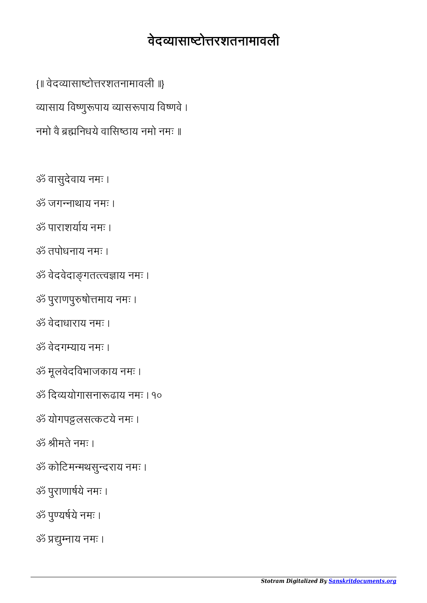## *Stotram Digitalized By [Sanskritdocuments.org](http://sanskritdocuments.org/)*

- ॐ प्रद्युम्नाय नमः ।
- 
- 
- ॐ पुयषये नमः ।
- ॐ पुराणाषये नमः ।
- ॐ कोिटममथसुदराय नमः ।
- ॐ ीमते नमः ।
- ॐ योगपट्टलसत्कटये नमः ।
- ॐ िदययोगासनाढाय नमः । १०
- ॐ मूलवेदिवभाजकाय नमः ।
- ॐ वेदगयाय नमः ।
- ॐ वेदाधाराय नमः ।
- ॐ पुराणपुषोमाय नमः ।

ॐ वेदवेदागतवाय नमः ।

- ॐ पाराशयय नमः । ॐ तपोधनाय नमः ।
- ॐ जगनाथाय नमः ।
- 
- 
- ॐ वासुदेवाय नमः ।

{॥ वेदयासाटोरशतनामावली ॥}

व्यासाय विष्णुरूपाय व्यासरूपाय विष्णवे ।

नमो वै ब्रह्मनिधये वासिष्ठाय नमो नमः ॥

वेदयासाटोरशतनामावली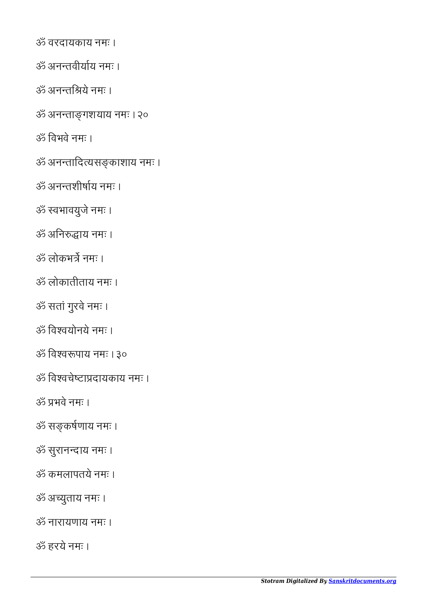ॐ नारायणाय नमः ।

ॐ अयुताय नमः ।

ॐ हरये नमः ।

ॐ वरदायकाय नमः ।

ॐ अनतवीयय नमः ।

ॐ अनतिये नमः ।

ॐ अनतशीषय नमः ।

ॐ वभावयुजे नमः ।

ॐ अिनाय नमः ।

ॐ लोकातीताय नमः ।

ॐ सतां गुरवे नमः ।

ॐ िववयोनये नमः ।

ॐ भवे नमः ।

ॐ सकषणाय नमः ।

ॐ सुरानदाय नमः ।

ॐ कमलापतये नमः ।

ॐ िववपाय नमः । ३०

ॐ िववचेटादायकाय नमः ।

ॐ लोकभ नमः ।

ॐ िवभवे नमः ।

ॐ अनतागशयाय नमः । २०

ॐ अनतािदयसकाशाय नमः ।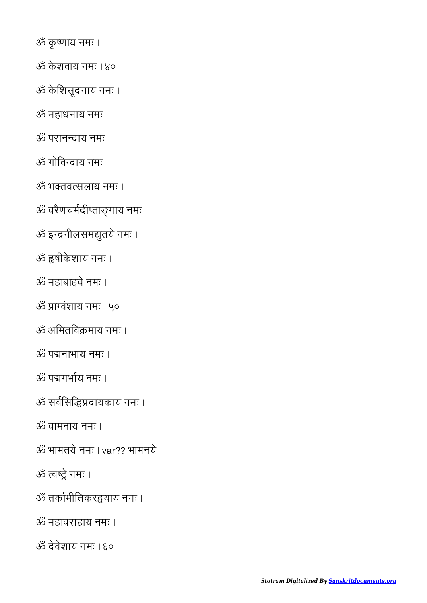ॐ देवेशाय नमः । ६०

ॐ महावराहाय नमः ।

ॐ त्वष्ट्रे नमः ।

ॐ तकभीितकरयाय नमः ।

- ॐ भामतये नमः । var?? भामनये
- ॐ वामनाय नमः ।
- ॐ सविसिदायकाय नमः ।
- ॐ पगभय नमः ।
- ॐ पनाभाय नमः ।
- ॐ अिमतिवमाय नमः ।
- ॐ ावंशाय नमः । ५०
- ॐ महाबाहवे नमः ।
- ॐ षीके शाय नमः ।
- ॐ इनीलसमुतये नमः ।
- ॐ वरैणचमदीतागाय नमः ।
- ॐ भतवसलाय नमः ।
- ॐ गोिवदाय नमः ।
- ॐ परानदाय नमः ।
- ॐ महाधनाय नमः ।
- ॐ के िशसूदनाय नमः ।
- ॐ के शवाय नमः । ४०
- ॐ कृ णाय नमः ।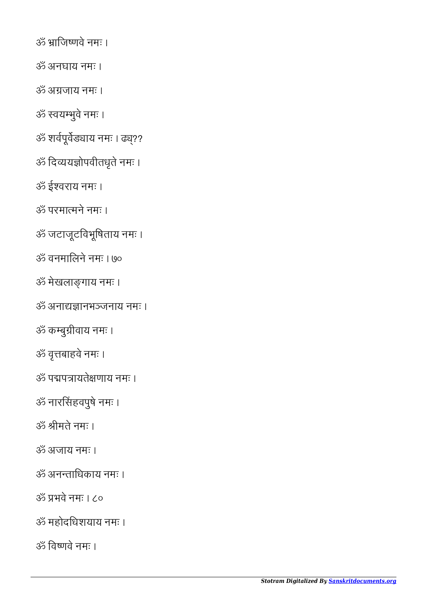ॐ भवे नमः । ८०

ॐ महोदिधशयाय नमः ।

ॐ िवणवे नमः ।

ॐ अजाय नमः ।

ॐ अनतािधकाय नमः ।

ॐ ीमते नमः ।

ॐ नारसहवपुषे नमः ।

ॐ वृबाहवे नमः ।

ॐ पपायतेणाय नमः ।

ॐ कबुीवाय नमः ।

ॐ जटाजूटिवभूिषताय नमः ।

ॐ अनाद्यज्ञानभञ्जनाय नमः ।

ॐ वनमािलने नमः । ७०

ॐ मेखलागाय नमः ।

ॐ परमामने नमः ।

ॐ ईवराय नमः ।

ॐ िदययोपवीतधृते नमः ।

ॐ शर्वपूर्वेड्याय नमः । ढ्य़??

ॐ वयभुवे नमः ।

ॐ अजाय नमः ।

ॐ अनघाय नमः ।

ॐ ािजणवे नमः ।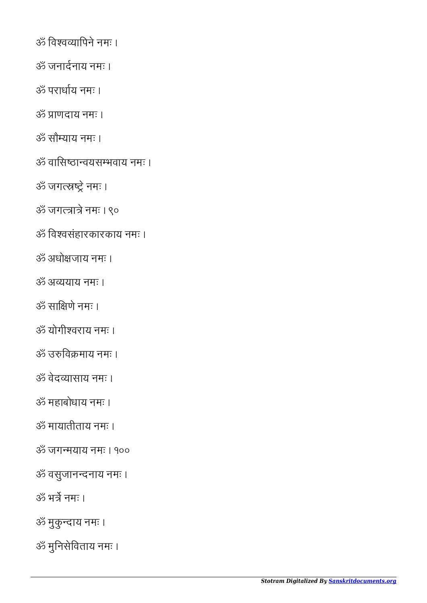ॐ िववयािपने नमः ।

ॐ जनादनाय नमः ।

ॐ पराधय नमः ।

ॐ ाणदाय नमः ।

ॐ सौयाय नमः ।

ॐ वािसठावयसभवाय नमः ।

ॐ जगत्स्नष्ट्रे नमः ।

ॐ जगत्त्रात्रे नमः । ९०

ॐ िववसंहारकारकाय नमः ।

ॐ अधोजाय नमः ।

ॐ अययाय नमः ।

ॐ सािणे नमः ।

ॐ योगीवराय नमः ।

ॐ उिवमाय नमः ।

ॐ वेदयासाय नमः ।

ॐ महाबोधाय नमः ।

ॐ मायातीताय नमः ।

ॐ जगमयाय नमः । १००

ॐ वसुजानदनाय नमः ।

ॐ भ नमः ।

ॐ मुकु दाय नमः ।

ॐ मुिनसेिवताय नमः ।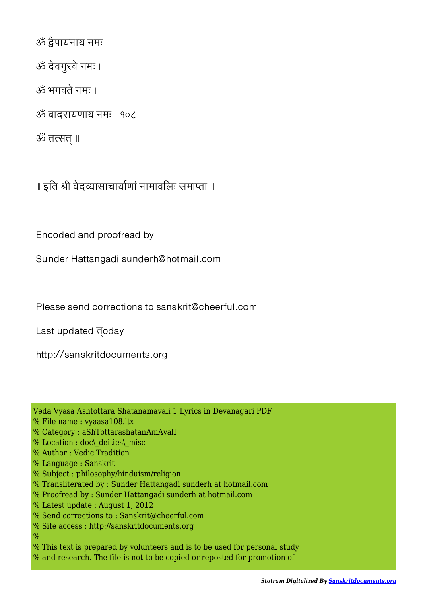```
ॐ ैपायनाय नमः ।
```
ॐ देवगुरवे नमः ।

ॐ भगवते नमः ।

ॐ बादरायणाय नमः । १०८

ॐ तत्सत् ॥

॥ इति श्री वेदव्यासाचार्याणां नामावलिः समाप्ता ॥

Encoded and proofread by

Sunder Hattangadi sunderh@hotmail.com

Please send corrections to sanskrit@cheerful.com

Last updated **doday** 

http://sanskritdocuments.org

Veda Vyasa Ashtottara Shatanamavali 1 Lyrics in Devanagari PDF

- % File name : vyaasa108.itx
- % Category : aShTottarashatanAmAvalI
- % Location : doc\ deities\ misc
- % Author : Vedic Tradition
- % Language : Sanskrit
- % Subject : philosophy/hinduism/religion
- % Transliterated by : Sunder Hattangadi sunderh at hotmail.com
- % Proofread by : Sunder Hattangadi sunderh at hotmail.com
- % Latest update : August 1, 2012
- % Send corrections to : Sanskrit@cheerful.com
- % Site access : http://sanskritdocuments.org
- $\frac{0}{0}$
- % This text is prepared by volunteers and is to be used for personal study
- % and research. The file is not to be copied or reposted for promotion of